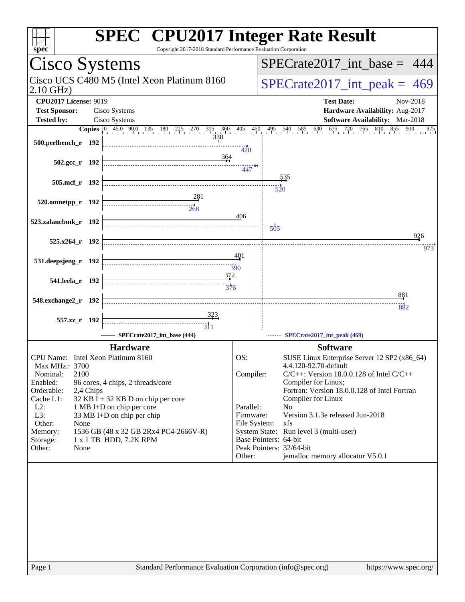| $spec^*$                                                                  |                                                                                      | Copyright 2017-2018 Standard Performance Evaluation Corporation                                                                                               |                                        |                                                   | <b>SPEC<sup>®</sup></b> CPU2017 Integer Rate Result                                                                                                                 |                        |
|---------------------------------------------------------------------------|--------------------------------------------------------------------------------------|---------------------------------------------------------------------------------------------------------------------------------------------------------------|----------------------------------------|---------------------------------------------------|---------------------------------------------------------------------------------------------------------------------------------------------------------------------|------------------------|
|                                                                           | Cisco Systems                                                                        |                                                                                                                                                               |                                        |                                                   | $SPECrate2017\_int\_base = 444$                                                                                                                                     |                        |
| Cisco UCS C480 M5 (Intel Xeon Platinum 8160<br>$2.10$ GHz)                |                                                                                      |                                                                                                                                                               |                                        | $SPECTate2017\_int\_peak = 469$                   |                                                                                                                                                                     |                        |
| <b>CPU2017 License: 9019</b><br><b>Test Sponsor:</b>                      | Cisco Systems                                                                        |                                                                                                                                                               |                                        |                                                   | <b>Test Date:</b><br>Hardware Availability: Aug-2017                                                                                                                | Nov-2018               |
| <b>Tested by:</b>                                                         | Cisco Systems                                                                        |                                                                                                                                                               |                                        |                                                   | Software Availability: Mar-2018                                                                                                                                     |                        |
|                                                                           |                                                                                      | <b>Copies</b> $\begin{bmatrix} 0 & 45.0 & 90.0 & 135 & 180 & 225 & 270 & 315 & 360 & 405 & 450 \end{bmatrix}$                                                 |                                        |                                                   | $495$ $540$ $585$ $630$ $675$<br>720 765 810                                                                                                                        | 855<br>900<br>$^{975}$ |
| 500.perlbench_r 192                                                       |                                                                                      | 338                                                                                                                                                           | 420                                    |                                                   |                                                                                                                                                                     |                        |
| $502.\text{gcc r}$ 192                                                    |                                                                                      | 364                                                                                                                                                           | 447                                    |                                                   |                                                                                                                                                                     |                        |
| 505.mcf_r 192                                                             |                                                                                      |                                                                                                                                                               |                                        | 535<br>520                                        |                                                                                                                                                                     |                        |
| 520.omnetpp_r 192                                                         |                                                                                      |                                                                                                                                                               | 406                                    |                                                   |                                                                                                                                                                     |                        |
| 523.xalancbmk_r 192                                                       |                                                                                      |                                                                                                                                                               |                                        | 505                                               |                                                                                                                                                                     | 926                    |
| 525.x264_r 192                                                            |                                                                                      |                                                                                                                                                               |                                        |                                                   |                                                                                                                                                                     | 973                    |
| 531.deepsjeng_r 192                                                       |                                                                                      |                                                                                                                                                               | 401                                    |                                                   |                                                                                                                                                                     |                        |
| 541.leela r 192                                                           |                                                                                      | $\begin{array}{c c c c c} \hline \text{} & \text{} \\ \hline \text{} & \text{} \\ \hline \text{} & \text{} \\ \hline \text{} & \text{} \\ \hline \end{array}$ | 372                                    |                                                   |                                                                                                                                                                     |                        |
| 548.exchange2_r 192                                                       |                                                                                      |                                                                                                                                                               |                                        |                                                   |                                                                                                                                                                     | 881<br>882             |
| 557.xz_r 192                                                              |                                                                                      |                                                                                                                                                               |                                        |                                                   |                                                                                                                                                                     |                        |
|                                                                           |                                                                                      | SPECrate2017_int_base (444)                                                                                                                                   |                                        |                                                   | SPECrate2017_int_peak (469)                                                                                                                                         |                        |
|                                                                           | <b>Hardware</b><br>CPU Name: Intel Xeon Platinum 8160                                |                                                                                                                                                               | OS:                                    |                                                   | <b>Software</b><br>SUSE Linux Enterprise Server 12 SP2 (x86_64)                                                                                                     |                        |
| Max MHz.: 3700<br>Nominal:<br>2100<br>Enabled:<br>Orderable:<br>Cache L1: | 96 cores, 4 chips, 2 threads/core<br>2,4 Chips<br>32 KB I + 32 KB D on chip per core |                                                                                                                                                               | Compiler:                              |                                                   | 4.4.120-92.70-default<br>$C/C++$ : Version 18.0.0.128 of Intel $C/C++$<br>Compiler for Linux;<br>Fortran: Version 18.0.0.128 of Intel Fortran<br>Compiler for Linux |                        |
| $L2$ :<br>L3:<br>Other:<br>None                                           | 1 MB I+D on chip per core<br>33 MB I+D on chip per chip                              |                                                                                                                                                               | Parallel:<br>Firmware:<br>File System: | N <sub>o</sub><br>xfs                             | Version 3.1.3e released Jun-2018                                                                                                                                    |                        |
| Memory:<br>Storage:<br>Other:<br>None                                     | 1536 GB (48 x 32 GB 2Rx4 PC4-2666V-R)<br>1 x 1 TB HDD, 7.2K RPM                      |                                                                                                                                                               |                                        | Base Pointers: 64-bit<br>Peak Pointers: 32/64-bit | System State: Run level 3 (multi-user)                                                                                                                              |                        |
|                                                                           |                                                                                      |                                                                                                                                                               | Other:                                 |                                                   | jemalloc memory allocator V5.0.1                                                                                                                                    |                        |
|                                                                           |                                                                                      |                                                                                                                                                               |                                        |                                                   |                                                                                                                                                                     |                        |
| Page 1                                                                    |                                                                                      | Standard Performance Evaluation Corporation (info@spec.org)                                                                                                   |                                        |                                                   |                                                                                                                                                                     | https://www.spec.org/  |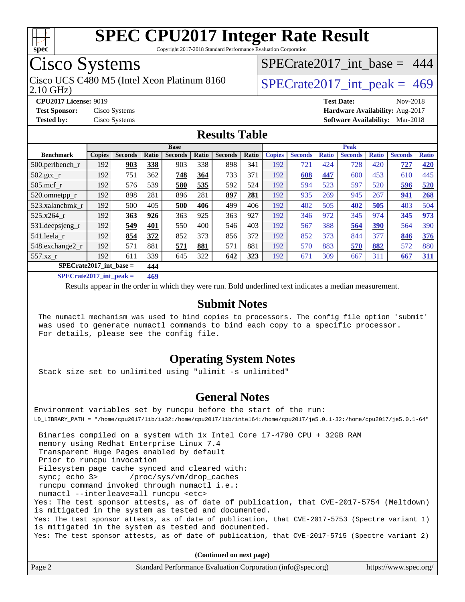

Copyright 2017-2018 Standard Performance Evaluation Corporation

# Cisco Systems

2.10 GHz) Cisco UCS C480 M5 (Intel Xeon Platinum 8160  $SPECrate2017\_int\_peak = 469$ 

[SPECrate2017\\_int\\_base =](http://www.spec.org/auto/cpu2017/Docs/result-fields.html#SPECrate2017intbase) 444

**[CPU2017 License:](http://www.spec.org/auto/cpu2017/Docs/result-fields.html#CPU2017License)** 9019 **[Test Date:](http://www.spec.org/auto/cpu2017/Docs/result-fields.html#TestDate)** Nov-2018

**[Test Sponsor:](http://www.spec.org/auto/cpu2017/Docs/result-fields.html#TestSponsor)** Cisco Systems **[Hardware Availability:](http://www.spec.org/auto/cpu2017/Docs/result-fields.html#HardwareAvailability)** Aug-2017 **[Tested by:](http://www.spec.org/auto/cpu2017/Docs/result-fields.html#Testedby)** Cisco Systems **[Software Availability:](http://www.spec.org/auto/cpu2017/Docs/result-fields.html#SoftwareAvailability)** Mar-2018

#### **[Results Table](http://www.spec.org/auto/cpu2017/Docs/result-fields.html#ResultsTable)**

|                             |               |                |            | <b>Base</b>    |              |                |       |               |                |              | <b>Peak</b>    |              |                |              |
|-----------------------------|---------------|----------------|------------|----------------|--------------|----------------|-------|---------------|----------------|--------------|----------------|--------------|----------------|--------------|
| <b>Benchmark</b>            | <b>Copies</b> | <b>Seconds</b> | Ratio      | <b>Seconds</b> | <b>Ratio</b> | <b>Seconds</b> | Ratio | <b>Copies</b> | <b>Seconds</b> | <b>Ratio</b> | <b>Seconds</b> | <b>Ratio</b> | <b>Seconds</b> | <b>Ratio</b> |
| $500.$ perlbench_r          | 192           | 903            | 338        | 903            | 338          | 898            | 341   | 192           | 721            | 424          | 728            | 420          | 727            | 420          |
| $502.\text{sec}$            | 192           | 751            | 362        | 748            | 364          | 733            | 371   | 192           | 608            | 447          | 600            | 453          | 610            | 445          |
| $505$ .mcf r                | 192           | 576            | 539        | 580            | 535          | 592            | 524   | 192           | 594            | 523          | 597            | 520          | 596            | 520          |
| 520.omnetpp_r               | 192           | 898            | 281        | 896            | 281          | 897            | 281   | 192           | 935            | 269          | 945            | 267          | 941            | 268          |
| 523.xalancbmk_r             | 192           | 500            | 405        | 500            | 406          | 499            | 406   | 192           | 402            | 505          | 402            | 505          | 403            | 504          |
| 525.x264 r                  | 192           | 363            | 926        | 363            | 925          | 363            | 927   | 192           | 346            | 972          | 345            | 974          | 345            | 973          |
| 531.deepsjeng_r             | 192           | 549            | 401        | 550            | 400          | 546            | 403   | 192           | 567            | 388          | 564            | <u>390</u>   | 564            | 390          |
| 541.leela r                 | 192           | 854            | 372        | 852            | 373          | 856            | 372   | 192           | 852            | 373          | 844            | 377          | 846            | 376          |
| 548.exchange2_r             | 192           | 571            | 881        | 571            | 881          | 571            | 881   | 192           | 570            | 883          | 570            | 882          | 572            | 880          |
| 557.xz r                    | 192           | 611            | 339        | 645            | 322          | 642            | 323   | 192           | 671            | 309          | 667            | 311          | 667            | <u>311</u>   |
| $SPECrate2017\_int\_base =$ |               |                | 444        |                |              |                |       |               |                |              |                |              |                |              |
| $CDDCD = 1.0017 + 1.1$      |               |                | $\sqrt{2}$ |                |              |                |       |               |                |              |                |              |                |              |

**[SPECrate2017\\_int\\_peak =](http://www.spec.org/auto/cpu2017/Docs/result-fields.html#SPECrate2017intpeak) 469**

Results appear in the [order in which they were run](http://www.spec.org/auto/cpu2017/Docs/result-fields.html#RunOrder). Bold underlined text [indicates a median measurement](http://www.spec.org/auto/cpu2017/Docs/result-fields.html#Median).

#### **[Submit Notes](http://www.spec.org/auto/cpu2017/Docs/result-fields.html#SubmitNotes)**

 The numactl mechanism was used to bind copies to processors. The config file option 'submit' was used to generate numactl commands to bind each copy to a specific processor. For details, please see the config file.

#### **[Operating System Notes](http://www.spec.org/auto/cpu2017/Docs/result-fields.html#OperatingSystemNotes)**

Stack size set to unlimited using "ulimit -s unlimited"

#### **[General Notes](http://www.spec.org/auto/cpu2017/Docs/result-fields.html#GeneralNotes)**

Environment variables set by runcpu before the start of the run: LD\_LIBRARY\_PATH = "/home/cpu2017/lib/ia32:/home/cpu2017/lib/intel64:/home/cpu2017/je5.0.1-32:/home/cpu2017/je5.0.1-64" Binaries compiled on a system with 1x Intel Core i7-4790 CPU + 32GB RAM memory using Redhat Enterprise Linux 7.4 Transparent Huge Pages enabled by default Prior to runcpu invocation Filesystem page cache synced and cleared with: sync; echo 3> /proc/sys/vm/drop\_caches runcpu command invoked through numactl i.e.: numactl --interleave=all runcpu <etc> Yes: The test sponsor attests, as of date of publication, that CVE-2017-5754 (Meltdown) is mitigated in the system as tested and documented. Yes: The test sponsor attests, as of date of publication, that CVE-2017-5753 (Spectre variant 1) is mitigated in the system as tested and documented.

Yes: The test sponsor attests, as of date of publication, that CVE-2017-5715 (Spectre variant 2)

**(Continued on next page)**

| Page 2 | Standard Performance Evaluation Corporation (info@spec.org) | https://www.spec.org/ |
|--------|-------------------------------------------------------------|-----------------------|
|--------|-------------------------------------------------------------|-----------------------|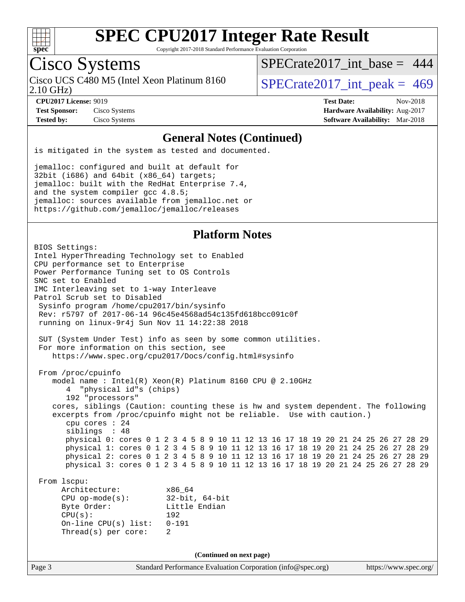

Copyright 2017-2018 Standard Performance Evaluation Corporation

# Cisco Systems

Cisco UCS C480 M5 (Intel Xeon Platinum 8160<br>2.10 GHz)

[SPECrate2017\\_int\\_base =](http://www.spec.org/auto/cpu2017/Docs/result-fields.html#SPECrate2017intbase) 444

 $SPECTate 2017\_int\_peak = 469$ 

**[Test Sponsor:](http://www.spec.org/auto/cpu2017/Docs/result-fields.html#TestSponsor)** Cisco Systems **[Hardware Availability:](http://www.spec.org/auto/cpu2017/Docs/result-fields.html#HardwareAvailability)** Aug-2017

**[CPU2017 License:](http://www.spec.org/auto/cpu2017/Docs/result-fields.html#CPU2017License)** 9019 **[Test Date:](http://www.spec.org/auto/cpu2017/Docs/result-fields.html#TestDate)** Nov-2018 **[Tested by:](http://www.spec.org/auto/cpu2017/Docs/result-fields.html#Testedby)** Cisco Systems **[Software Availability:](http://www.spec.org/auto/cpu2017/Docs/result-fields.html#SoftwareAvailability)** Mar-2018

#### **[General Notes \(Continued\)](http://www.spec.org/auto/cpu2017/Docs/result-fields.html#GeneralNotes)**

is mitigated in the system as tested and documented.

jemalloc: configured and built at default for 32bit (i686) and 64bit (x86\_64) targets; jemalloc: built with the RedHat Enterprise 7.4, and the system compiler gcc 4.8.5; jemalloc: sources available from jemalloc.net or <https://github.com/jemalloc/jemalloc/releases>

#### **[Platform Notes](http://www.spec.org/auto/cpu2017/Docs/result-fields.html#PlatformNotes)**

Page 3 Standard Performance Evaluation Corporation [\(info@spec.org\)](mailto:info@spec.org) <https://www.spec.org/> BIOS Settings: Intel HyperThreading Technology set to Enabled CPU performance set to Enterprise Power Performance Tuning set to OS Controls SNC set to Enabled IMC Interleaving set to 1-way Interleave Patrol Scrub set to Disabled Sysinfo program /home/cpu2017/bin/sysinfo Rev: r5797 of 2017-06-14 96c45e4568ad54c135fd618bcc091c0f running on linux-9r4j Sun Nov 11 14:22:38 2018 SUT (System Under Test) info as seen by some common utilities. For more information on this section, see <https://www.spec.org/cpu2017/Docs/config.html#sysinfo> From /proc/cpuinfo model name : Intel(R) Xeon(R) Platinum 8160 CPU @ 2.10GHz 4 "physical id"s (chips) 192 "processors" cores, siblings (Caution: counting these is hw and system dependent. The following excerpts from /proc/cpuinfo might not be reliable. Use with caution.) cpu cores : 24 siblings : 48 physical 0: cores 0 1 2 3 4 5 8 9 10 11 12 13 16 17 18 19 20 21 24 25 26 27 28 29 physical 1: cores 0 1 2 3 4 5 8 9 10 11 12 13 16 17 18 19 20 21 24 25 26 27 28 29 physical 2: cores 0 1 2 3 4 5 8 9 10 11 12 13 16 17 18 19 20 21 24 25 26 27 28 29 physical 3: cores 0 1 2 3 4 5 8 9 10 11 12 13 16 17 18 19 20 21 24 25 26 27 28 29 From lscpu: Architecture: x86\_64 CPU op-mode(s): 32-bit, 64-bit Byte Order: Little Endian CPU(s): 192 On-line CPU(s) list: 0-191 Thread(s) per core: 2 **(Continued on next page)**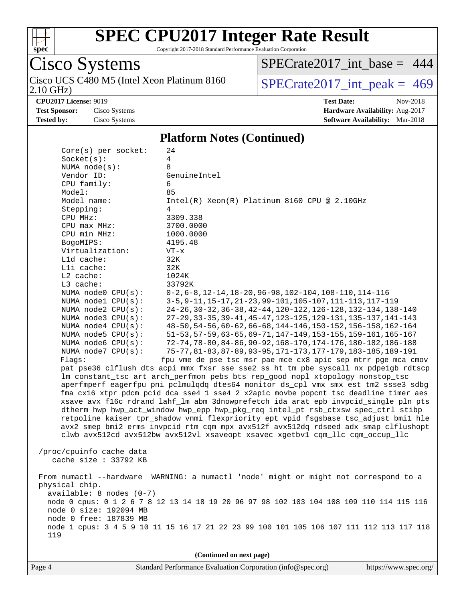

Copyright 2017-2018 Standard Performance Evaluation Corporation

#### Cisco Systems 2.10 GHz) Cisco UCS C480 M5 (Intel Xeon Platinum 8160  $SPECrate2017\_int\_peak = 469$

[SPECrate2017\\_int\\_base =](http://www.spec.org/auto/cpu2017/Docs/result-fields.html#SPECrate2017intbase) 444

**[CPU2017 License:](http://www.spec.org/auto/cpu2017/Docs/result-fields.html#CPU2017License)** 9019 **[Test Date:](http://www.spec.org/auto/cpu2017/Docs/result-fields.html#TestDate)** Nov-2018

**[Test Sponsor:](http://www.spec.org/auto/cpu2017/Docs/result-fields.html#TestSponsor)** Cisco Systems **[Hardware Availability:](http://www.spec.org/auto/cpu2017/Docs/result-fields.html#HardwareAvailability)** Aug-2017 **[Tested by:](http://www.spec.org/auto/cpu2017/Docs/result-fields.html#Testedby)** Cisco Systems **[Software Availability:](http://www.spec.org/auto/cpu2017/Docs/result-fields.html#SoftwareAvailability)** Mar-2018

#### **[Platform Notes \(Continued\)](http://www.spec.org/auto/cpu2017/Docs/result-fields.html#PlatformNotes)**

| $Core(s)$ per socket:      | 24                                                                                      |
|----------------------------|-----------------------------------------------------------------------------------------|
| Socket(s):                 | 4                                                                                       |
| NUMA $node(s)$ :           | 8                                                                                       |
| Vendor ID:                 | GenuineIntel                                                                            |
| CPU family:                | 6                                                                                       |
| Model:                     | 85                                                                                      |
| Model name:                | $Intel(R) Xeon(R) Platinum 8160 CPU @ 2.10GHz$                                          |
| Stepping:                  | 4                                                                                       |
| CPU MHz:                   | 3309.338                                                                                |
| CPU max MHz:               | 3700.0000                                                                               |
| CPU min MHz:               | 1000.0000                                                                               |
| BogoMIPS:                  | 4195.48                                                                                 |
| Virtualization:            | $VT - x$                                                                                |
| L1d cache:                 | 32K                                                                                     |
| Lli cache:                 | 32K                                                                                     |
| $L2$ cache:                | 1024K                                                                                   |
| L3 cache:                  | 33792K                                                                                  |
| NUMA node0 CPU(s):         | $0-2, 6-8, 12-14, 18-20, 96-98, 102-104, 108-110, 114-116$                              |
| NUMA nodel CPU(s):         | 3-5, 9-11, 15-17, 21-23, 99-101, 105-107, 111-113, 117-119                              |
| NUMA node2 CPU(s):         | 24-26, 30-32, 36-38, 42-44, 120-122, 126-128, 132-134, 138-140                          |
| NUMA node3 CPU(s):         | 27-29, 33-35, 39-41, 45-47, 123-125, 129-131, 135-137, 141-143                          |
| NUMA $node4$ $CPU(s):$     | 48-50, 54-56, 60-62, 66-68, 144-146, 150-152, 156-158, 162-164                          |
| NUMA $node5$ CPU $(s)$ :   | 51-53, 57-59, 63-65, 69-71, 147-149, 153-155, 159-161, 165-167                          |
| NUMA node6 CPU(s):         | 72-74, 78-80, 84-86, 90-92, 168-170, 174-176, 180-182, 186-188                          |
| NUMA node7 CPU(s):         | 75-77, 81-83, 87-89, 93-95, 171-173, 177-179, 183-185, 189-191                          |
| Flags:                     | fpu vme de pse tsc msr pae mce cx8 apic sep mtrr pge mca cmov                           |
|                            | pat pse36 clflush dts acpi mmx fxsr sse sse2 ss ht tm pbe syscall nx pdpelgb rdtscp     |
|                            | lm constant_tsc art arch_perfmon pebs bts rep_good nopl xtopology nonstop_tsc           |
|                            | aperfmperf eagerfpu pni pclmulqdq dtes64 monitor ds_cpl vmx smx est tm2 ssse3 sdbg      |
|                            | fma cx16 xtpr pdcm pcid dca sse4_1 sse4_2 x2apic movbe popcnt tsc_deadline_timer aes    |
|                            | xsave avx f16c rdrand lahf_lm abm 3dnowprefetch ida arat epb invpcid_single pln pts     |
|                            | dtherm hwp hwp_act_window hwp_epp hwp_pkg_req intel_pt rsb_ctxsw spec_ctrl stibp        |
|                            | retpoline kaiser tpr_shadow vnmi flexpriority ept vpid fsgsbase tsc_adjust bmil hle     |
|                            | avx2 smep bmi2 erms invpcid rtm cqm mpx avx512f avx512dq rdseed adx smap clflushopt     |
|                            | clwb avx512cd avx512bw avx512vl xsaveopt xsavec xgetbvl cqm_llc cqm_occup_llc           |
|                            |                                                                                         |
| /proc/cpuinfo cache data   |                                                                                         |
| cache size : 33792 KB      |                                                                                         |
|                            |                                                                                         |
| From numactl --hardware    | WARNING: a numactl 'node' might or might not correspond to a                            |
| physical chip.             |                                                                                         |
| $available: 8 nodes (0-7)$ |                                                                                         |
|                            | node 0 cpus: 0 1 2 6 7 8 12 13 14 18 19 20 96 97 98 102 103 104 108 109 110 114 115 116 |
| node 0 size: 192094 MB     |                                                                                         |
| node 0 free: 187839 MB     |                                                                                         |
|                            | node 1 cpus: 3 4 5 9 10 11 15 16 17 21 22 23 99 100 101 105 106 107 111 112 113 117 118 |
| 119                        |                                                                                         |
|                            |                                                                                         |
|                            | (Continued on next page)                                                                |

Page 4 Standard Performance Evaluation Corporation [\(info@spec.org\)](mailto:info@spec.org) <https://www.spec.org/>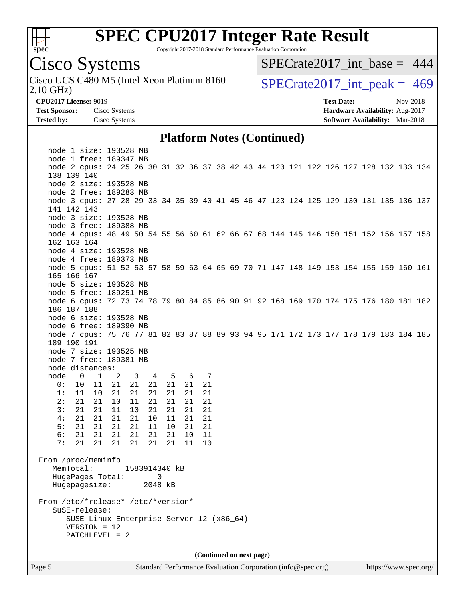

Copyright 2017-2018 Standard Performance Evaluation Corporation

# Cisco Systems

2.10 GHz) Cisco UCS C480 M5 (Intel Xeon Platinum 8160  $SPECrate2017\_int\_peak = 469$ 

[SPECrate2017\\_int\\_base =](http://www.spec.org/auto/cpu2017/Docs/result-fields.html#SPECrate2017intbase) 444

**[CPU2017 License:](http://www.spec.org/auto/cpu2017/Docs/result-fields.html#CPU2017License)** 9019 **[Test Date:](http://www.spec.org/auto/cpu2017/Docs/result-fields.html#TestDate)** Nov-2018 **[Test Sponsor:](http://www.spec.org/auto/cpu2017/Docs/result-fields.html#TestSponsor)** Cisco Systems **[Hardware Availability:](http://www.spec.org/auto/cpu2017/Docs/result-fields.html#HardwareAvailability)** Aug-2017 **[Tested by:](http://www.spec.org/auto/cpu2017/Docs/result-fields.html#Testedby)** Cisco Systems **[Software Availability:](http://www.spec.org/auto/cpu2017/Docs/result-fields.html#SoftwareAvailability)** Mar-2018

#### **[Platform Notes \(Continued\)](http://www.spec.org/auto/cpu2017/Docs/result-fields.html#PlatformNotes)**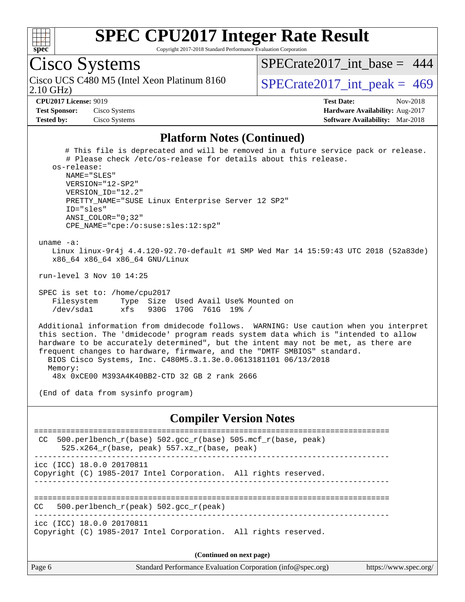

Copyright 2017-2018 Standard Performance Evaluation Corporation

# Cisco Systems

Cisco UCS C480 M5 (Intel Xeon Platinum 8160<br>2.10 GHz)

[SPECrate2017\\_int\\_base =](http://www.spec.org/auto/cpu2017/Docs/result-fields.html#SPECrate2017intbase) 444

 $SPECTate 2017\_int\_peak = 469$ 

**[Test Sponsor:](http://www.spec.org/auto/cpu2017/Docs/result-fields.html#TestSponsor)** Cisco Systems **[Hardware Availability:](http://www.spec.org/auto/cpu2017/Docs/result-fields.html#HardwareAvailability)** Aug-2017

**[CPU2017 License:](http://www.spec.org/auto/cpu2017/Docs/result-fields.html#CPU2017License)** 9019 **[Test Date:](http://www.spec.org/auto/cpu2017/Docs/result-fields.html#TestDate)** Nov-2018 **[Tested by:](http://www.spec.org/auto/cpu2017/Docs/result-fields.html#Testedby)** Cisco Systems **[Software Availability:](http://www.spec.org/auto/cpu2017/Docs/result-fields.html#SoftwareAvailability)** Mar-2018

#### **[Platform Notes \(Continued\)](http://www.spec.org/auto/cpu2017/Docs/result-fields.html#PlatformNotes)**

 # This file is deprecated and will be removed in a future service pack or release. # Please check /etc/os-release for details about this release. os-release: NAME="SLES" VERSION="12-SP2" VERSION\_ID="12.2" PRETTY\_NAME="SUSE Linux Enterprise Server 12 SP2" ID="sles" ANSI\_COLOR="0;32" CPE\_NAME="cpe:/o:suse:sles:12:sp2" uname -a: Linux linux-9r4j 4.4.120-92.70-default #1 SMP Wed Mar 14 15:59:43 UTC 2018 (52a83de) x86\_64 x86\_64 x86\_64 GNU/Linux run-level 3 Nov 10 14:25 SPEC is set to: /home/cpu2017 Filesystem Type Size Used Avail Use% Mounted on /dev/sda1 xfs 930G 170G 761G 19% / Additional information from dmidecode follows. WARNING: Use caution when you interpret this section. The 'dmidecode' program reads system data which is "intended to allow hardware to be accurately determined", but the intent may not be met, as there are frequent changes to hardware, firmware, and the "DMTF SMBIOS" standard. BIOS Cisco Systems, Inc. C480M5.3.1.3e.0.0613181101 06/13/2018 Memory: 48x 0xCE00 M393A4K40BB2-CTD 32 GB 2 rank 2666 (End of data from sysinfo program) **[Compiler Version Notes](http://www.spec.org/auto/cpu2017/Docs/result-fields.html#CompilerVersionNotes)** ============================================================================== CC 500.perlbench\_r(base)  $502.\text{gcc_r(base)}$  505.mcf\_r(base, peak) 525.x264\_r(base, peak) 557.xz\_r(base, peak) ----------------------------------------------------------------------------- icc (ICC) 18.0.0 20170811

Copyright (C) 1985-2017 Intel Corporation. All rights reserved. ------------------------------------------------------------------------------

==============================================================================  $CC = 500.perlbench r(peak) 502.qcc r(peak)$ 

------------------------------------------------------------------------------

icc (ICC) 18.0.0 20170811

Copyright (C) 1985-2017 Intel Corporation. All rights reserved.

**(Continued on next page)**

| 'age c |  |
|--------|--|
|--------|--|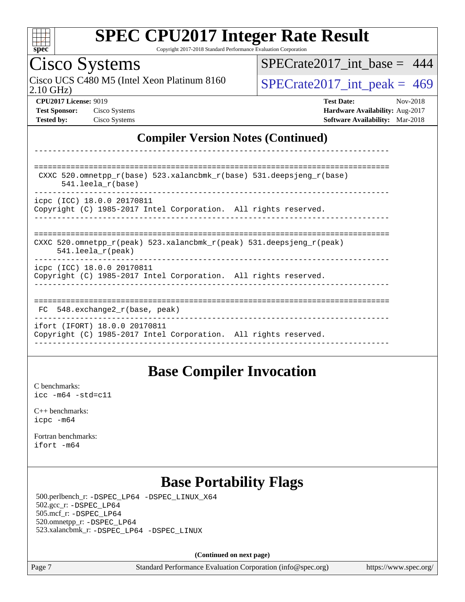

Copyright 2017-2018 Standard Performance Evaluation Corporation

# Cisco Systems

2.10 GHz) Cisco UCS C480 M5 (Intel Xeon Platinum 8160  $\big|$  SPECrate 2017 int peak = 469

[SPECrate2017\\_int\\_base =](http://www.spec.org/auto/cpu2017/Docs/result-fields.html#SPECrate2017intbase) 444

**[CPU2017 License:](http://www.spec.org/auto/cpu2017/Docs/result-fields.html#CPU2017License)** 9019 **[Test Date:](http://www.spec.org/auto/cpu2017/Docs/result-fields.html#TestDate)** Nov-2018 **[Test Sponsor:](http://www.spec.org/auto/cpu2017/Docs/result-fields.html#TestSponsor)** Cisco Systems **[Hardware Availability:](http://www.spec.org/auto/cpu2017/Docs/result-fields.html#HardwareAvailability)** Aug-2017 **[Tested by:](http://www.spec.org/auto/cpu2017/Docs/result-fields.html#Testedby)** Cisco Systems **[Software Availability:](http://www.spec.org/auto/cpu2017/Docs/result-fields.html#SoftwareAvailability)** Mar-2018

### **[Compiler Version Notes \(Continued\)](http://www.spec.org/auto/cpu2017/Docs/result-fields.html#CompilerVersionNotes)**

| CXXC 520.omnetpp $r(base)$ 523.xalancbmk $r(base)$ 531.deepsjeng $r(base)$<br>$541.$ leela r(base)                      |
|-------------------------------------------------------------------------------------------------------------------------|
| icpc (ICC) 18.0.0 20170811<br>Copyright (C) 1985-2017 Intel Corporation. All rights reserved.                           |
| CXXC 520.omnetpp $r(\text{peak})$ 523.xalancbmk $r(\text{peak})$ 531.deepsjeng $r(\text{peak})$<br>$541.$ leela r(peak) |
| icpc (ICC) 18.0.0 20170811<br>Copyright (C) 1985-2017 Intel Corporation. All rights reserved.                           |
| 548.exchange2 r(base, peak)<br>FC.                                                                                      |
| ifort (IFORT) 18.0.0 20170811<br>Copyright (C) 1985-2017 Intel Corporation. All rights reserved.                        |

------------------------------------------------------------------------------

## **[Base Compiler Invocation](http://www.spec.org/auto/cpu2017/Docs/result-fields.html#BaseCompilerInvocation)**

[C benchmarks](http://www.spec.org/auto/cpu2017/Docs/result-fields.html#Cbenchmarks): [icc -m64 -std=c11](http://www.spec.org/cpu2017/results/res2018q4/cpu2017-20181113-09778.flags.html#user_CCbase_intel_icc_64bit_c11_33ee0cdaae7deeeab2a9725423ba97205ce30f63b9926c2519791662299b76a0318f32ddfffdc46587804de3178b4f9328c46fa7c2b0cd779d7a61945c91cd35)

[C++ benchmarks:](http://www.spec.org/auto/cpu2017/Docs/result-fields.html#CXXbenchmarks) [icpc -m64](http://www.spec.org/cpu2017/results/res2018q4/cpu2017-20181113-09778.flags.html#user_CXXbase_intel_icpc_64bit_4ecb2543ae3f1412ef961e0650ca070fec7b7afdcd6ed48761b84423119d1bf6bdf5cad15b44d48e7256388bc77273b966e5eb805aefd121eb22e9299b2ec9d9)

[Fortran benchmarks](http://www.spec.org/auto/cpu2017/Docs/result-fields.html#Fortranbenchmarks): [ifort -m64](http://www.spec.org/cpu2017/results/res2018q4/cpu2017-20181113-09778.flags.html#user_FCbase_intel_ifort_64bit_24f2bb282fbaeffd6157abe4f878425411749daecae9a33200eee2bee2fe76f3b89351d69a8130dd5949958ce389cf37ff59a95e7a40d588e8d3a57e0c3fd751)

## **[Base Portability Flags](http://www.spec.org/auto/cpu2017/Docs/result-fields.html#BasePortabilityFlags)**

 500.perlbench\_r: [-DSPEC\\_LP64](http://www.spec.org/cpu2017/results/res2018q4/cpu2017-20181113-09778.flags.html#b500.perlbench_r_basePORTABILITY_DSPEC_LP64) [-DSPEC\\_LINUX\\_X64](http://www.spec.org/cpu2017/results/res2018q4/cpu2017-20181113-09778.flags.html#b500.perlbench_r_baseCPORTABILITY_DSPEC_LINUX_X64) 502.gcc\_r: [-DSPEC\\_LP64](http://www.spec.org/cpu2017/results/res2018q4/cpu2017-20181113-09778.flags.html#suite_basePORTABILITY502_gcc_r_DSPEC_LP64) 505.mcf\_r: [-DSPEC\\_LP64](http://www.spec.org/cpu2017/results/res2018q4/cpu2017-20181113-09778.flags.html#suite_basePORTABILITY505_mcf_r_DSPEC_LP64) 520.omnetpp\_r: [-DSPEC\\_LP64](http://www.spec.org/cpu2017/results/res2018q4/cpu2017-20181113-09778.flags.html#suite_basePORTABILITY520_omnetpp_r_DSPEC_LP64) 523.xalancbmk\_r: [-DSPEC\\_LP64](http://www.spec.org/cpu2017/results/res2018q4/cpu2017-20181113-09778.flags.html#suite_basePORTABILITY523_xalancbmk_r_DSPEC_LP64) [-DSPEC\\_LINUX](http://www.spec.org/cpu2017/results/res2018q4/cpu2017-20181113-09778.flags.html#b523.xalancbmk_r_baseCXXPORTABILITY_DSPEC_LINUX)

**(Continued on next page)**

Page 7 Standard Performance Evaluation Corporation [\(info@spec.org\)](mailto:info@spec.org) <https://www.spec.org/>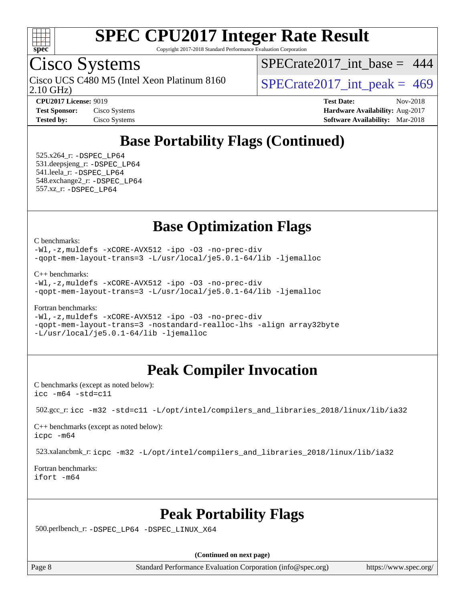

Copyright 2017-2018 Standard Performance Evaluation Corporation

## Cisco Systems

2.10 GHz) Cisco UCS C480 M5 (Intel Xeon Platinum 8160  $SPECrate2017\_int\_peak = 469$ 

[SPECrate2017\\_int\\_base =](http://www.spec.org/auto/cpu2017/Docs/result-fields.html#SPECrate2017intbase) 444

**[Tested by:](http://www.spec.org/auto/cpu2017/Docs/result-fields.html#Testedby)** Cisco Systems **[Software Availability:](http://www.spec.org/auto/cpu2017/Docs/result-fields.html#SoftwareAvailability)** Mar-2018

**[CPU2017 License:](http://www.spec.org/auto/cpu2017/Docs/result-fields.html#CPU2017License)** 9019 **[Test Date:](http://www.spec.org/auto/cpu2017/Docs/result-fields.html#TestDate)** Nov-2018 **[Test Sponsor:](http://www.spec.org/auto/cpu2017/Docs/result-fields.html#TestSponsor)** Cisco Systems **[Hardware Availability:](http://www.spec.org/auto/cpu2017/Docs/result-fields.html#HardwareAvailability)** Aug-2017

## **[Base Portability Flags \(Continued\)](http://www.spec.org/auto/cpu2017/Docs/result-fields.html#BasePortabilityFlags)**

 525.x264\_r: [-DSPEC\\_LP64](http://www.spec.org/cpu2017/results/res2018q4/cpu2017-20181113-09778.flags.html#suite_basePORTABILITY525_x264_r_DSPEC_LP64) 531.deepsjeng\_r: [-DSPEC\\_LP64](http://www.spec.org/cpu2017/results/res2018q4/cpu2017-20181113-09778.flags.html#suite_basePORTABILITY531_deepsjeng_r_DSPEC_LP64) 541.leela\_r: [-DSPEC\\_LP64](http://www.spec.org/cpu2017/results/res2018q4/cpu2017-20181113-09778.flags.html#suite_basePORTABILITY541_leela_r_DSPEC_LP64) 548.exchange2\_r: [-DSPEC\\_LP64](http://www.spec.org/cpu2017/results/res2018q4/cpu2017-20181113-09778.flags.html#suite_basePORTABILITY548_exchange2_r_DSPEC_LP64) 557.xz\_r: [-DSPEC\\_LP64](http://www.spec.org/cpu2017/results/res2018q4/cpu2017-20181113-09778.flags.html#suite_basePORTABILITY557_xz_r_DSPEC_LP64)

## **[Base Optimization Flags](http://www.spec.org/auto/cpu2017/Docs/result-fields.html#BaseOptimizationFlags)**

[C benchmarks](http://www.spec.org/auto/cpu2017/Docs/result-fields.html#Cbenchmarks):

[-Wl,-z,muldefs](http://www.spec.org/cpu2017/results/res2018q4/cpu2017-20181113-09778.flags.html#user_CCbase_link_force_multiple1_b4cbdb97b34bdee9ceefcfe54f4c8ea74255f0b02a4b23e853cdb0e18eb4525ac79b5a88067c842dd0ee6996c24547a27a4b99331201badda8798ef8a743f577) [-xCORE-AVX512](http://www.spec.org/cpu2017/results/res2018q4/cpu2017-20181113-09778.flags.html#user_CCbase_f-xCORE-AVX512) [-ipo](http://www.spec.org/cpu2017/results/res2018q4/cpu2017-20181113-09778.flags.html#user_CCbase_f-ipo) [-O3](http://www.spec.org/cpu2017/results/res2018q4/cpu2017-20181113-09778.flags.html#user_CCbase_f-O3) [-no-prec-div](http://www.spec.org/cpu2017/results/res2018q4/cpu2017-20181113-09778.flags.html#user_CCbase_f-no-prec-div) [-qopt-mem-layout-trans=3](http://www.spec.org/cpu2017/results/res2018q4/cpu2017-20181113-09778.flags.html#user_CCbase_f-qopt-mem-layout-trans_de80db37974c74b1f0e20d883f0b675c88c3b01e9d123adea9b28688d64333345fb62bc4a798493513fdb68f60282f9a726aa07f478b2f7113531aecce732043) [-L/usr/local/je5.0.1-64/lib](http://www.spec.org/cpu2017/results/res2018q4/cpu2017-20181113-09778.flags.html#user_CCbase_jemalloc_link_path64_4b10a636b7bce113509b17f3bd0d6226c5fb2346b9178c2d0232c14f04ab830f976640479e5c33dc2bcbbdad86ecfb6634cbbd4418746f06f368b512fced5394) [-ljemalloc](http://www.spec.org/cpu2017/results/res2018q4/cpu2017-20181113-09778.flags.html#user_CCbase_jemalloc_link_lib_d1249b907c500fa1c0672f44f562e3d0f79738ae9e3c4a9c376d49f265a04b9c99b167ecedbf6711b3085be911c67ff61f150a17b3472be731631ba4d0471706)

[C++ benchmarks:](http://www.spec.org/auto/cpu2017/Docs/result-fields.html#CXXbenchmarks)

[-Wl,-z,muldefs](http://www.spec.org/cpu2017/results/res2018q4/cpu2017-20181113-09778.flags.html#user_CXXbase_link_force_multiple1_b4cbdb97b34bdee9ceefcfe54f4c8ea74255f0b02a4b23e853cdb0e18eb4525ac79b5a88067c842dd0ee6996c24547a27a4b99331201badda8798ef8a743f577) [-xCORE-AVX512](http://www.spec.org/cpu2017/results/res2018q4/cpu2017-20181113-09778.flags.html#user_CXXbase_f-xCORE-AVX512) [-ipo](http://www.spec.org/cpu2017/results/res2018q4/cpu2017-20181113-09778.flags.html#user_CXXbase_f-ipo) [-O3](http://www.spec.org/cpu2017/results/res2018q4/cpu2017-20181113-09778.flags.html#user_CXXbase_f-O3) [-no-prec-div](http://www.spec.org/cpu2017/results/res2018q4/cpu2017-20181113-09778.flags.html#user_CXXbase_f-no-prec-div) [-qopt-mem-layout-trans=3](http://www.spec.org/cpu2017/results/res2018q4/cpu2017-20181113-09778.flags.html#user_CXXbase_f-qopt-mem-layout-trans_de80db37974c74b1f0e20d883f0b675c88c3b01e9d123adea9b28688d64333345fb62bc4a798493513fdb68f60282f9a726aa07f478b2f7113531aecce732043) [-L/usr/local/je5.0.1-64/lib](http://www.spec.org/cpu2017/results/res2018q4/cpu2017-20181113-09778.flags.html#user_CXXbase_jemalloc_link_path64_4b10a636b7bce113509b17f3bd0d6226c5fb2346b9178c2d0232c14f04ab830f976640479e5c33dc2bcbbdad86ecfb6634cbbd4418746f06f368b512fced5394) [-ljemalloc](http://www.spec.org/cpu2017/results/res2018q4/cpu2017-20181113-09778.flags.html#user_CXXbase_jemalloc_link_lib_d1249b907c500fa1c0672f44f562e3d0f79738ae9e3c4a9c376d49f265a04b9c99b167ecedbf6711b3085be911c67ff61f150a17b3472be731631ba4d0471706)

[Fortran benchmarks](http://www.spec.org/auto/cpu2017/Docs/result-fields.html#Fortranbenchmarks):

[-Wl,-z,muldefs](http://www.spec.org/cpu2017/results/res2018q4/cpu2017-20181113-09778.flags.html#user_FCbase_link_force_multiple1_b4cbdb97b34bdee9ceefcfe54f4c8ea74255f0b02a4b23e853cdb0e18eb4525ac79b5a88067c842dd0ee6996c24547a27a4b99331201badda8798ef8a743f577) [-xCORE-AVX512](http://www.spec.org/cpu2017/results/res2018q4/cpu2017-20181113-09778.flags.html#user_FCbase_f-xCORE-AVX512) [-ipo](http://www.spec.org/cpu2017/results/res2018q4/cpu2017-20181113-09778.flags.html#user_FCbase_f-ipo) [-O3](http://www.spec.org/cpu2017/results/res2018q4/cpu2017-20181113-09778.flags.html#user_FCbase_f-O3) [-no-prec-div](http://www.spec.org/cpu2017/results/res2018q4/cpu2017-20181113-09778.flags.html#user_FCbase_f-no-prec-div) [-qopt-mem-layout-trans=3](http://www.spec.org/cpu2017/results/res2018q4/cpu2017-20181113-09778.flags.html#user_FCbase_f-qopt-mem-layout-trans_de80db37974c74b1f0e20d883f0b675c88c3b01e9d123adea9b28688d64333345fb62bc4a798493513fdb68f60282f9a726aa07f478b2f7113531aecce732043) [-nostandard-realloc-lhs](http://www.spec.org/cpu2017/results/res2018q4/cpu2017-20181113-09778.flags.html#user_FCbase_f_2003_std_realloc_82b4557e90729c0f113870c07e44d33d6f5a304b4f63d4c15d2d0f1fab99f5daaed73bdb9275d9ae411527f28b936061aa8b9c8f2d63842963b95c9dd6426b8a) [-align array32byte](http://www.spec.org/cpu2017/results/res2018q4/cpu2017-20181113-09778.flags.html#user_FCbase_align_array32byte_b982fe038af199962ba9a80c053b8342c548c85b40b8e86eb3cc33dee0d7986a4af373ac2d51c3f7cf710a18d62fdce2948f201cd044323541f22fc0fffc51b6) [-L/usr/local/je5.0.1-64/lib](http://www.spec.org/cpu2017/results/res2018q4/cpu2017-20181113-09778.flags.html#user_FCbase_jemalloc_link_path64_4b10a636b7bce113509b17f3bd0d6226c5fb2346b9178c2d0232c14f04ab830f976640479e5c33dc2bcbbdad86ecfb6634cbbd4418746f06f368b512fced5394) [-ljemalloc](http://www.spec.org/cpu2017/results/res2018q4/cpu2017-20181113-09778.flags.html#user_FCbase_jemalloc_link_lib_d1249b907c500fa1c0672f44f562e3d0f79738ae9e3c4a9c376d49f265a04b9c99b167ecedbf6711b3085be911c67ff61f150a17b3472be731631ba4d0471706)

## **[Peak Compiler Invocation](http://www.spec.org/auto/cpu2017/Docs/result-fields.html#PeakCompilerInvocation)**

[C benchmarks \(except as noted below\)](http://www.spec.org/auto/cpu2017/Docs/result-fields.html#Cbenchmarksexceptasnotedbelow): [icc -m64 -std=c11](http://www.spec.org/cpu2017/results/res2018q4/cpu2017-20181113-09778.flags.html#user_CCpeak_intel_icc_64bit_c11_33ee0cdaae7deeeab2a9725423ba97205ce30f63b9926c2519791662299b76a0318f32ddfffdc46587804de3178b4f9328c46fa7c2b0cd779d7a61945c91cd35)

```
 502.gcc_r: icc -m32 -std=c11 -L/opt/intel/compilers_and_libraries_2018/linux/lib/ia32
```
[C++ benchmarks \(except as noted below\):](http://www.spec.org/auto/cpu2017/Docs/result-fields.html#CXXbenchmarksexceptasnotedbelow) [icpc -m64](http://www.spec.org/cpu2017/results/res2018q4/cpu2017-20181113-09778.flags.html#user_CXXpeak_intel_icpc_64bit_4ecb2543ae3f1412ef961e0650ca070fec7b7afdcd6ed48761b84423119d1bf6bdf5cad15b44d48e7256388bc77273b966e5eb805aefd121eb22e9299b2ec9d9)

523.xalancbmk\_r: [icpc -m32 -L/opt/intel/compilers\\_and\\_libraries\\_2018/linux/lib/ia32](http://www.spec.org/cpu2017/results/res2018q4/cpu2017-20181113-09778.flags.html#user_peakCXXLD523_xalancbmk_r_intel_icpc_49b8c4a2e52517df5e44233d8730ac3dfca5acbb5ef11df3347e50260a55109134bcb7fd2e543798dfd93e66566a4e08776ad3f7d40a4ff4276870c090f61f0e)

[Fortran benchmarks](http://www.spec.org/auto/cpu2017/Docs/result-fields.html#Fortranbenchmarks): [ifort -m64](http://www.spec.org/cpu2017/results/res2018q4/cpu2017-20181113-09778.flags.html#user_FCpeak_intel_ifort_64bit_24f2bb282fbaeffd6157abe4f878425411749daecae9a33200eee2bee2fe76f3b89351d69a8130dd5949958ce389cf37ff59a95e7a40d588e8d3a57e0c3fd751)

## **[Peak Portability Flags](http://www.spec.org/auto/cpu2017/Docs/result-fields.html#PeakPortabilityFlags)**

500.perlbench\_r: [-DSPEC\\_LP64](http://www.spec.org/cpu2017/results/res2018q4/cpu2017-20181113-09778.flags.html#b500.perlbench_r_peakPORTABILITY_DSPEC_LP64) [-DSPEC\\_LINUX\\_X64](http://www.spec.org/cpu2017/results/res2018q4/cpu2017-20181113-09778.flags.html#b500.perlbench_r_peakCPORTABILITY_DSPEC_LINUX_X64)

**(Continued on next page)**

Page 8 Standard Performance Evaluation Corporation [\(info@spec.org\)](mailto:info@spec.org) <https://www.spec.org/>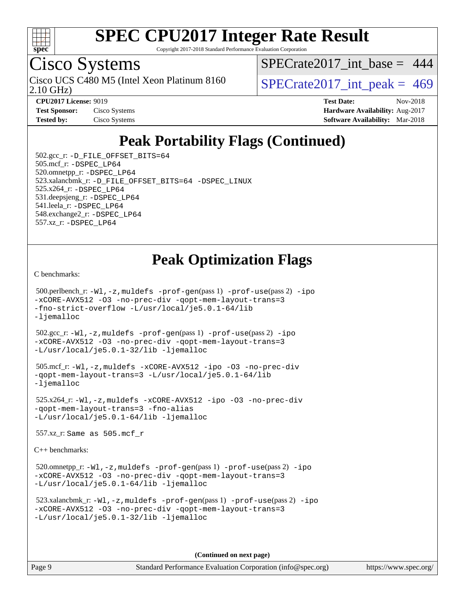

Copyright 2017-2018 Standard Performance Evaluation Corporation

# Cisco Systems

Cisco UCS C480 M5 (Intel Xeon Platinum 8160<br>2.10 GHz)

 $SPECrate2017\_int\_base = 444$ 

 $SPECTate 2017\_int\_peak = 469$ 

**[Test Sponsor:](http://www.spec.org/auto/cpu2017/Docs/result-fields.html#TestSponsor)** Cisco Systems **Cisco Systems [Hardware Availability:](http://www.spec.org/auto/cpu2017/Docs/result-fields.html#HardwareAvailability)** Aug-2017

**[CPU2017 License:](http://www.spec.org/auto/cpu2017/Docs/result-fields.html#CPU2017License)** 9019 **[Test Date:](http://www.spec.org/auto/cpu2017/Docs/result-fields.html#TestDate)** Nov-2018 **[Tested by:](http://www.spec.org/auto/cpu2017/Docs/result-fields.html#Testedby)** Cisco Systems **[Software Availability:](http://www.spec.org/auto/cpu2017/Docs/result-fields.html#SoftwareAvailability)** Mar-2018

## **[Peak Portability Flags \(Continued\)](http://www.spec.org/auto/cpu2017/Docs/result-fields.html#PeakPortabilityFlags)**

 502.gcc\_r: [-D\\_FILE\\_OFFSET\\_BITS=64](http://www.spec.org/cpu2017/results/res2018q4/cpu2017-20181113-09778.flags.html#user_peakPORTABILITY502_gcc_r_file_offset_bits_64_5ae949a99b284ddf4e95728d47cb0843d81b2eb0e18bdfe74bbf0f61d0b064f4bda2f10ea5eb90e1dcab0e84dbc592acfc5018bc955c18609f94ddb8d550002c) 505.mcf\_r: [-DSPEC\\_LP64](http://www.spec.org/cpu2017/results/res2018q4/cpu2017-20181113-09778.flags.html#suite_peakPORTABILITY505_mcf_r_DSPEC_LP64) 520.omnetpp\_r: [-DSPEC\\_LP64](http://www.spec.org/cpu2017/results/res2018q4/cpu2017-20181113-09778.flags.html#suite_peakPORTABILITY520_omnetpp_r_DSPEC_LP64) 523.xalancbmk\_r: [-D\\_FILE\\_OFFSET\\_BITS=64](http://www.spec.org/cpu2017/results/res2018q4/cpu2017-20181113-09778.flags.html#user_peakPORTABILITY523_xalancbmk_r_file_offset_bits_64_5ae949a99b284ddf4e95728d47cb0843d81b2eb0e18bdfe74bbf0f61d0b064f4bda2f10ea5eb90e1dcab0e84dbc592acfc5018bc955c18609f94ddb8d550002c) [-DSPEC\\_LINUX](http://www.spec.org/cpu2017/results/res2018q4/cpu2017-20181113-09778.flags.html#b523.xalancbmk_r_peakCXXPORTABILITY_DSPEC_LINUX) 525.x264\_r: [-DSPEC\\_LP64](http://www.spec.org/cpu2017/results/res2018q4/cpu2017-20181113-09778.flags.html#suite_peakPORTABILITY525_x264_r_DSPEC_LP64) 531.deepsjeng\_r: [-DSPEC\\_LP64](http://www.spec.org/cpu2017/results/res2018q4/cpu2017-20181113-09778.flags.html#suite_peakPORTABILITY531_deepsjeng_r_DSPEC_LP64) 541.leela\_r: [-DSPEC\\_LP64](http://www.spec.org/cpu2017/results/res2018q4/cpu2017-20181113-09778.flags.html#suite_peakPORTABILITY541_leela_r_DSPEC_LP64) 548.exchange2\_r: [-DSPEC\\_LP64](http://www.spec.org/cpu2017/results/res2018q4/cpu2017-20181113-09778.flags.html#suite_peakPORTABILITY548_exchange2_r_DSPEC_LP64) 557.xz\_r: [-DSPEC\\_LP64](http://www.spec.org/cpu2017/results/res2018q4/cpu2017-20181113-09778.flags.html#suite_peakPORTABILITY557_xz_r_DSPEC_LP64)

## **[Peak Optimization Flags](http://www.spec.org/auto/cpu2017/Docs/result-fields.html#PeakOptimizationFlags)**

[C benchmarks](http://www.spec.org/auto/cpu2017/Docs/result-fields.html#Cbenchmarks):

```
 500.perlbench_r: -Wl,-z,muldefs -prof-gen(pass 1) -prof-use(pass 2) -ipo
-xCORE-AVX512 -O3 -no-prec-div -qopt-mem-layout-trans=3
-fno-strict-overflow -L/usr/local/je5.0.1-64/lib
-ljemalloc
 502.gcc_r: -Wl,-z,muldefs -prof-gen(pass 1) -prof-use(pass 2) -ipo
-xCORE-AVX512 -O3 -no-prec-div -qopt-mem-layout-trans=3
-L/usr/local/je5.0.1-32/lib -ljemalloc
 505.mcf_r: -Wl,-z,muldefs -xCORE-AVX512 -ipo -O3 -no-prec-div
-qopt-mem-layout-trans=3 -L/usr/local/je5.0.1-64/lib
-ljemalloc
 525.x264_r: -Wl,-z,muldefs -xCORE-AVX512 -ipo -O3 -no-prec-div
-qopt-mem-layout-trans=3 -fno-alias
-L/usr/local/je5.0.1-64/lib -ljemalloc
 557.xz_r: Same as 505.mcf_r
C++ benchmarks: 
520.omnetpp_r:-Wl-prof-use-ipo
-xCORE-AVX512 -O3 -no-prec-div -qopt-mem-layout-trans=3
-L/usr/local/je5.0.1-64/lib -ljemalloc
 523.xalancbmk_r: -Wl,-z,muldefs -prof-gen(pass 1) -prof-use(pass 2) -ipo
-xCORE-AVX512 -O3 -no-prec-div -qopt-mem-layout-trans=3
-L/usr/local/je5.0.1-32/lib -ljemalloc
```
**(Continued on next page)**